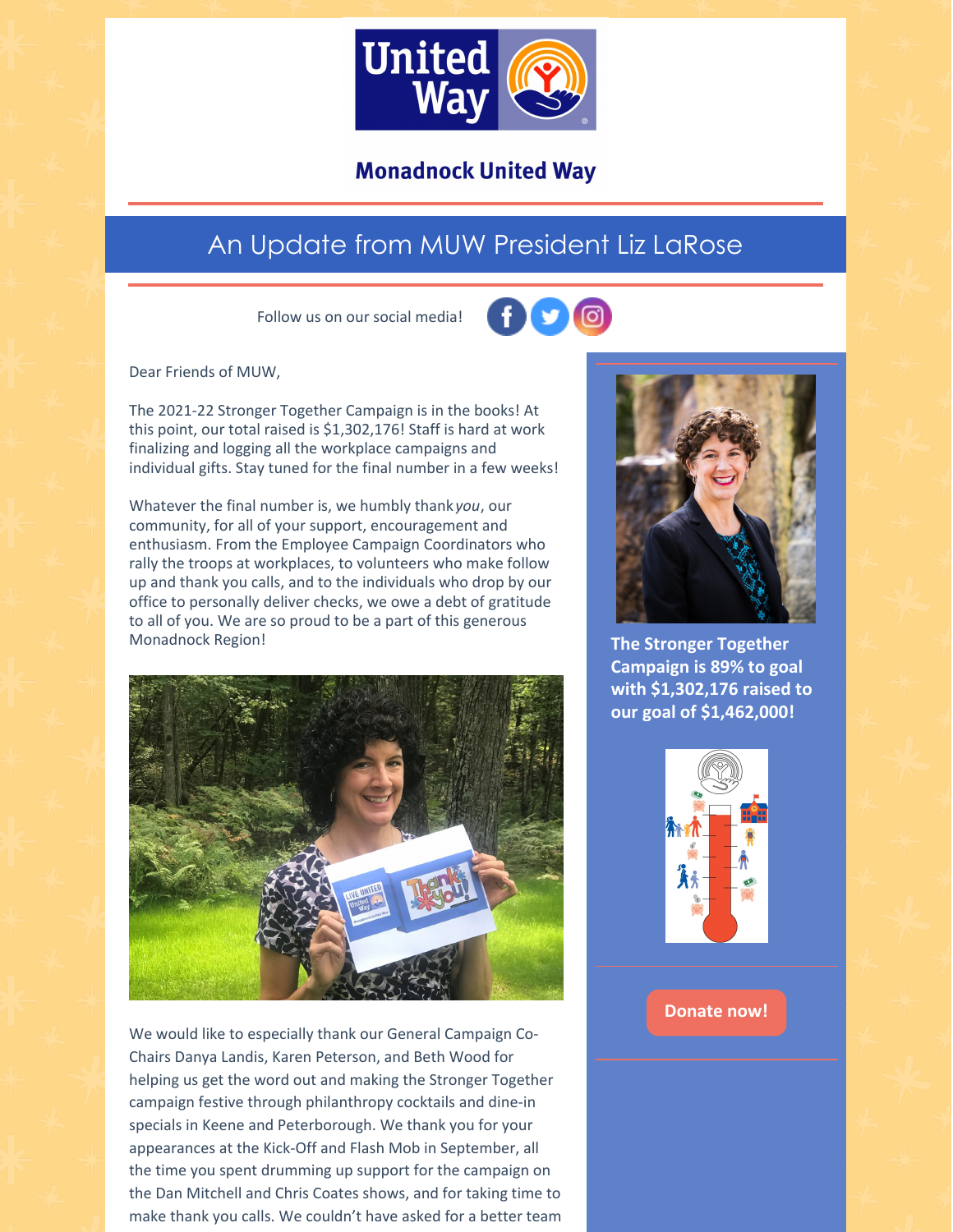

# **Monadnock United Way**

# An Update from MUW President Liz LaRose

Follow us on our social media!



Dear Friends of MUW,

The 2021-22 Stronger Together Campaign is in the books! At this point, our total raised is \$1,302,176! Staff is hard at work finalizing and logging all the workplace campaigns and individual gifts. Stay tuned for the final number in a few weeks!

Whatever the final number is, we humbly thank *you*, our community, for all of your support, encouragement and enthusiasm. From the Employee Campaign Coordinators who rally the troops at workplaces, to volunteers who make follow up and thank you calls, and to the individuals who drop by our office to personally deliver checks, we owe a debt of gratitude to all of you. We are so proud to be a part of this generous Monadnock Region!



We would like to especially thank our General Campaign Co-Chairs Danya Landis, Karen Peterson, and Beth Wood for helping us get the word out and making the Stronger Together campaign festive through philanthropy cocktails and dine-in specials in Keene and Peterborough. We thank you for your appearances at the Kick-Off and Flash Mob in September, all the time you spent drumming up support for the campaign on the Dan Mitchell and Chris Coates shows, and for taking time to make thank you calls. We couldn't have asked for a better team



**The Stronger Together Campaign is 89% to goal with \$1,302,176 raised to our goal of \$1,462,000!**



## **[Donate](https://app.mobilecause.com/form/ZRKvlQ?reset=1&%253Bid=1&vid=oi7n5) now!**